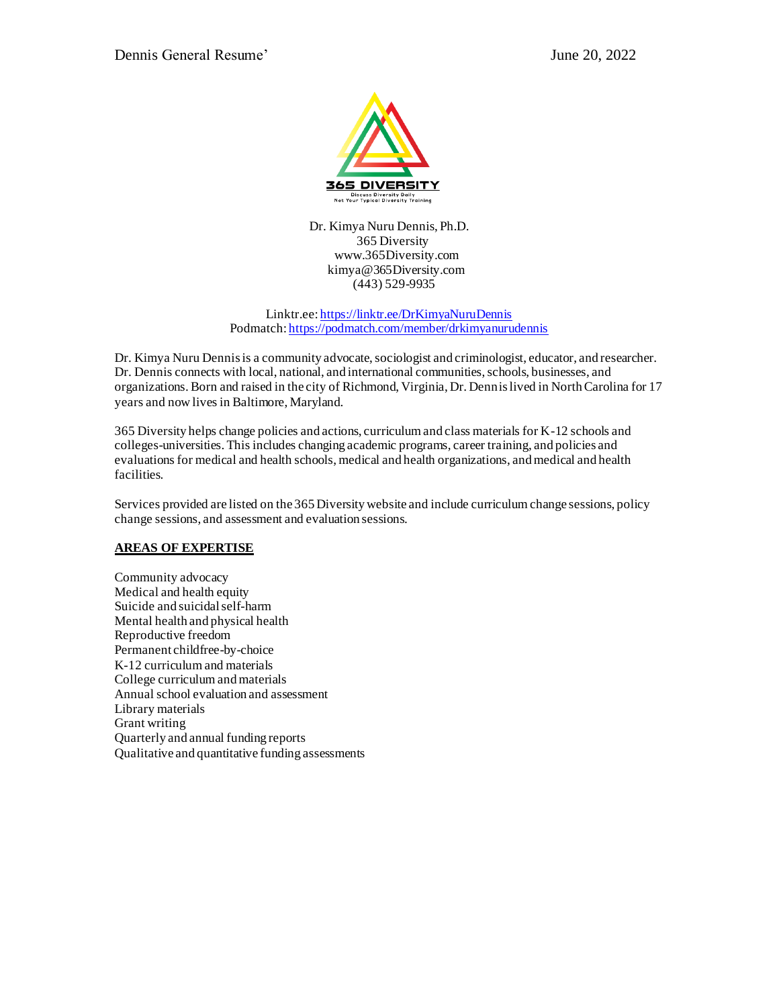

 Dr. Kimya Nuru Dennis, Ph.D. 365 Diversity www.365Diversity.com kimya@365Diversity.com (443) 529-9935

Linktr.ee[: https://linktr.ee/DrKimyaNuruDennis](https://linktr.ee/DrKimyaNuruDennis) Podmatch[: https://podmatch.com/member/drkimyanurudennis](https://podmatch.com/member/drkimyanurudennis)

Dr. Kimya Nuru Dennis is a community advocate, sociologist and criminologist, educator, and researcher. Dr. Dennis connects with local, national, and international communities, schools, businesses, and organizations. Born and raised in the city of Richmond, Virginia, Dr. Dennis lived in North Carolina for 17 years and now lives in Baltimore, Maryland.

365 Diversity helps change policies and actions, curriculum and class materials for K-12 schools and colleges-universities. This includes changing academic programs, career training, and policies and evaluations for medical and health schools, medical and health organizations, and medical and health facilities.

Services provided are listed on the 365 Diversity website and include curriculum change sessions, policy change sessions, and assessment and evaluation sessions.

## **AREAS OF EXPERTISE**

Community advocacy Medical and health equity Suicide and suicidal self-harm Mental health and physical health Reproductive freedom Permanent childfree-by-choice K-12 curriculum and materials College curriculum and materials Annual school evaluation and assessment Library materials Grant writing Quarterly and annual funding reports Qualitative and quantitative funding assessments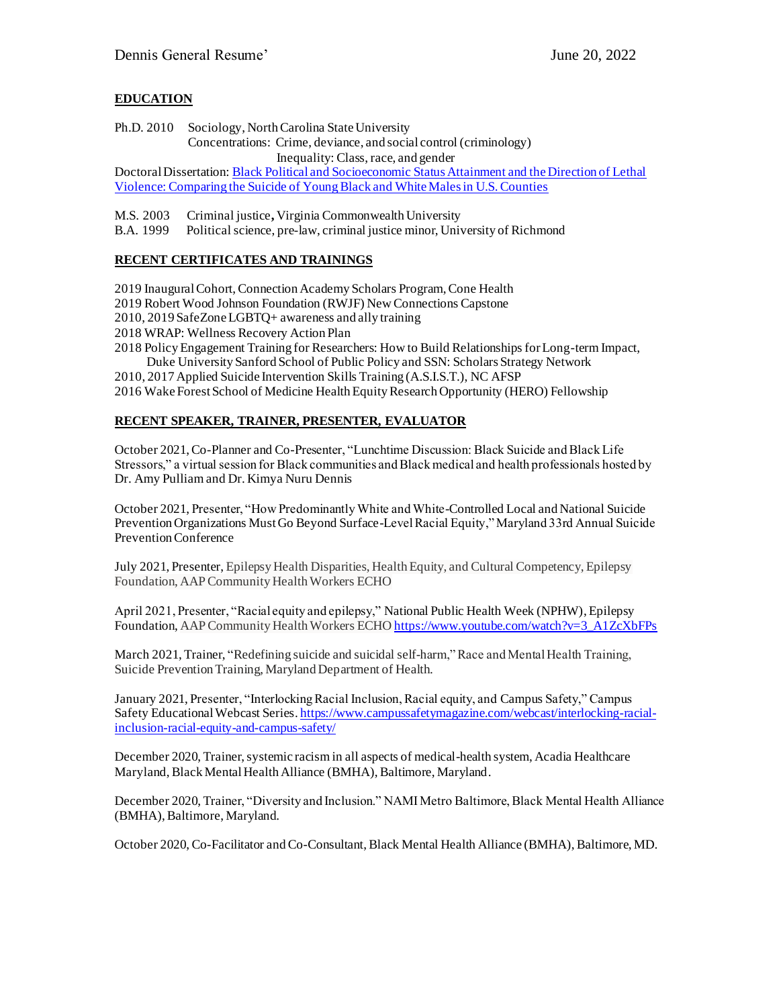# **EDUCATION**

Ph.D. 2010Sociology, North Carolina State University Concentrations: Crime, deviance, and social control (criminology) Inequality: Class, race, and gender

Doctoral Dissertation[: Black Political and Socioeconomic Status Attainment and the Direction of Lethal](https://repository.lib.ncsu.edu/handle/1840.16/6149)  [Violence: Comparing the Suicide of Young Black and White Males in U.S. Counties](https://repository.lib.ncsu.edu/handle/1840.16/6149)

M.S. 2003 Criminal justice**,** Virginia Commonwealth University

B.A. 1999Political science, pre-law, criminal justice minor, University of Richmond

## **RECENT CERTIFICATES AND TRAININGS**

2019 Inaugural Cohort, Connection Academy Scholars Program, Cone Health

2019 Robert Wood Johnson Foundation (RWJF) New Connections Capstone

2010, 2019 SafeZone LGBTQ+ awareness and ally training

- 2018 WRAP: Wellness Recovery Action Plan
- 2018 Policy Engagement Training for Researchers: How to Build Relationships for Long-term Impact, Duke University Sanford School of Public Policy and SSN: Scholars Strategy Network
- 2010, 2017 Applied Suicide Intervention Skills Training (A.S.I.S.T.), NC AFSP

2016 Wake Forest School of Medicine Health Equity Research Opportunity (HERO) Fellowship

## **RECENT SPEAKER, TRAINER, PRESENTER, EVALUATOR**

October 2021, Co-Planner and Co-Presenter, "Lunchtime Discussion: Black Suicide and Black Life Stressors," a virtual session for Black communities and Black medical and health professionals hosted by Dr. Amy Pulliam and Dr. Kimya Nuru Dennis

October 2021, Presenter, "How Predominantly White and White-Controlled Local and National Suicide Prevention Organizations Must Go Beyond Surface-Level Racial Equity," Maryland 33rd Annual Suicide Prevention Conference

July 2021, Presenter, Epilepsy Health Disparities, Health Equity, and Cultural Competency, Epilepsy Foundation, AAP Community Health Workers ECHO

April 2021, Presenter, "Racial equity and epilepsy," National Public Health Week (NPHW), Epilepsy Foundation, AAP Community Health Workers ECH[O https://www.youtube.com/watch?v=3\\_A1ZcXbFPs](https://www.youtube.com/watch?v=3_A1ZcXbFPs)

March 2021, Trainer, "Redefining suicide and suicidal self-harm," Race and Mental Health Training, Suicide Prevention Training, Maryland Department of Health.

January 2021, Presenter, "Interlocking Racial Inclusion, Racial equity, and Campus Safety," Campus Safety Educational Webcast Series[. https://www.campussafetymagazine.com/webcast/interlocking-racial](https://www.campussafetymagazine.com/webcast/interlocking-racial-inclusion-racial-equity-and-campus-safety/)[inclusion-racial-equity-and-campus-safety/](https://www.campussafetymagazine.com/webcast/interlocking-racial-inclusion-racial-equity-and-campus-safety/)

December 2020, Trainer, systemic racism in all aspects of medical-health system, Acadia Healthcare Maryland, Black Mental Health Alliance (BMHA), Baltimore, Maryland.

December 2020, Trainer, "Diversity and Inclusion." NAMI Metro Baltimore, Black Mental Health Alliance (BMHA), Baltimore, Maryland.

October 2020, Co-Facilitator and Co-Consultant, Black Mental Health Alliance (BMHA), Baltimore, MD.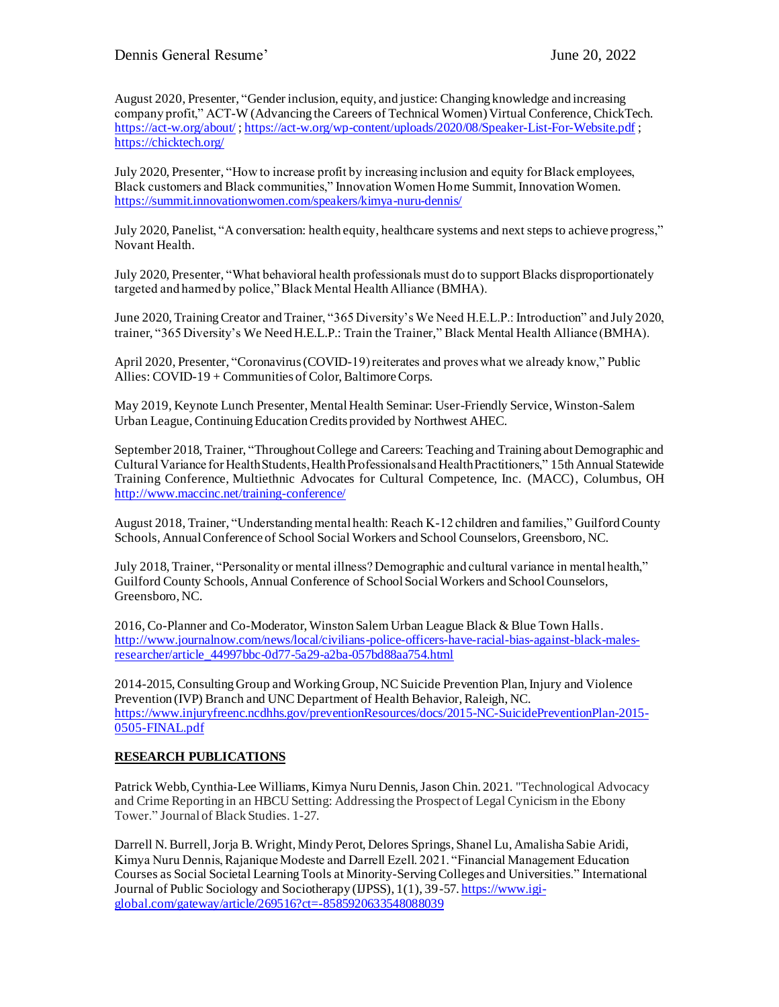August 2020, Presenter, "Gender inclusion, equity, and justice: Changing knowledge and increasing company profit," ACT-W (Advancing the Careers of Technical Women) Virtual Conference, ChickTech. <https://act-w.org/about/> [; https://act-w.org/wp-content/uploads/2020/08/Speaker-List-For-Website.pdf](https://act-w.org/wp-content/uploads/2020/08/Speaker-List-For-Website.pdf) ; <https://chicktech.org/>

July 2020, Presenter, "How to increase profit by increasing inclusion and equity for Black employees, Black customers and Black communities," Innovation Women Home Summit, Innovation Women. <https://summit.innovationwomen.com/speakers/kimya-nuru-dennis/>

July 2020, Panelist, "A conversation: health equity, healthcare systems and next steps to achieve progress," Novant Health.

July 2020, Presenter, "What behavioral health professionals must do to support Blacks disproportionately targeted and harmed by police," Black Mental Health Alliance (BMHA).

June 2020, Training Creator and Trainer, "365 Diversity's We Need H.E.L.P.: Introduction" and July 2020, trainer, "365 Diversity's We Need H.E.L.P.: Train the Trainer," Black Mental Health Alliance (BMHA).

April 2020, Presenter, "Coronavirus (COVID-19) reiterates and proves what we already know," Public Allies: COVID-19 + Communities of Color, Baltimore Corps.

May 2019, Keynote Lunch Presenter, Mental Health Seminar: User-Friendly Service, Winston-Salem Urban League, Continuing Education Credits provided by Northwest AHEC.

September 2018, Trainer, "Throughout College and Careers: Teaching and Training about Demographic and Cultural Variance for Health Students, Health Professionals and Health Practitioners," 15th Annual Statewide Training Conference, Multiethnic Advocates for Cultural Competence, Inc. (MACC), Columbus, OH <http://www.maccinc.net/training-conference/>

August 2018, Trainer, "Understanding mental health: Reach K-12 children and families," Guilford County Schools, Annual Conference of School Social Workers and School Counselors, Greensboro, NC.

July 2018, Trainer, "Personality or mental illness? Demographic and cultural variance in mental health," Guilford County Schools, Annual Conference of School Social Workers and School Counselors, Greensboro, NC.

2016, Co-Planner and Co-Moderator, Winston Salem Urban League Black & Blue Town Halls. [http://www.journalnow.com/news/local/civilians-police-officers-have-racial-bias-against-black-males](http://www.journalnow.com/news/local/civilians-police-officers-have-racial-bias-against-black-males-researcher/article_44997bbc-0d77-5a29-a2ba-057bd88aa754.html)[researcher/article\\_44997bbc-0d77-5a29-a2ba-057bd88aa754.html](http://www.journalnow.com/news/local/civilians-police-officers-have-racial-bias-against-black-males-researcher/article_44997bbc-0d77-5a29-a2ba-057bd88aa754.html)

2014-2015, Consulting Group and Working Group, NC Suicide Prevention Plan, Injury and Violence Prevention (IVP) Branch and UNC Department of Health Behavior, Raleigh, NC. [https://www.injuryfreenc.ncdhhs.gov/preventionResources/docs/2015-NC-SuicidePreventionPlan-2015-](https://www.injuryfreenc.ncdhhs.gov/preventionResources/docs/2015-NC-SuicidePreventionPlan-2015-0505-FINAL.pdf) [0505-FINAL.pdf](https://www.injuryfreenc.ncdhhs.gov/preventionResources/docs/2015-NC-SuicidePreventionPlan-2015-0505-FINAL.pdf)

## **RESEARCH PUBLICATIONS**

Patrick Webb, Cynthia-Lee Williams, Kimya Nuru Dennis, Jason Chin. 2021. "Technological Advocacy and Crime Reporting in an HBCU Setting: Addressing the Prospect of Legal Cynicism in the Ebony Tower." Journal of Black Studies. 1-27.

Darrell N. Burrell, Jorja B. Wright, Mindy Perot, Delores Springs, Shanel Lu, Amalisha Sabie Aridi, Kimya Nuru Dennis, Rajanique Modeste and Darrell Ezell. 2021. "Financial Management Education Courses as Social Societal Learning Tools at Minority-Serving Colleges and Universities." International Journal of Public Sociology and Sociotherapy (IJPSS), 1(1), 39-57[. https://www.igi](https://www.igi-global.com/gateway/article/269516?ct=-8585920633548088039)[global.com/gateway/article/269516?ct=-8585920633548088039](https://www.igi-global.com/gateway/article/269516?ct=-8585920633548088039)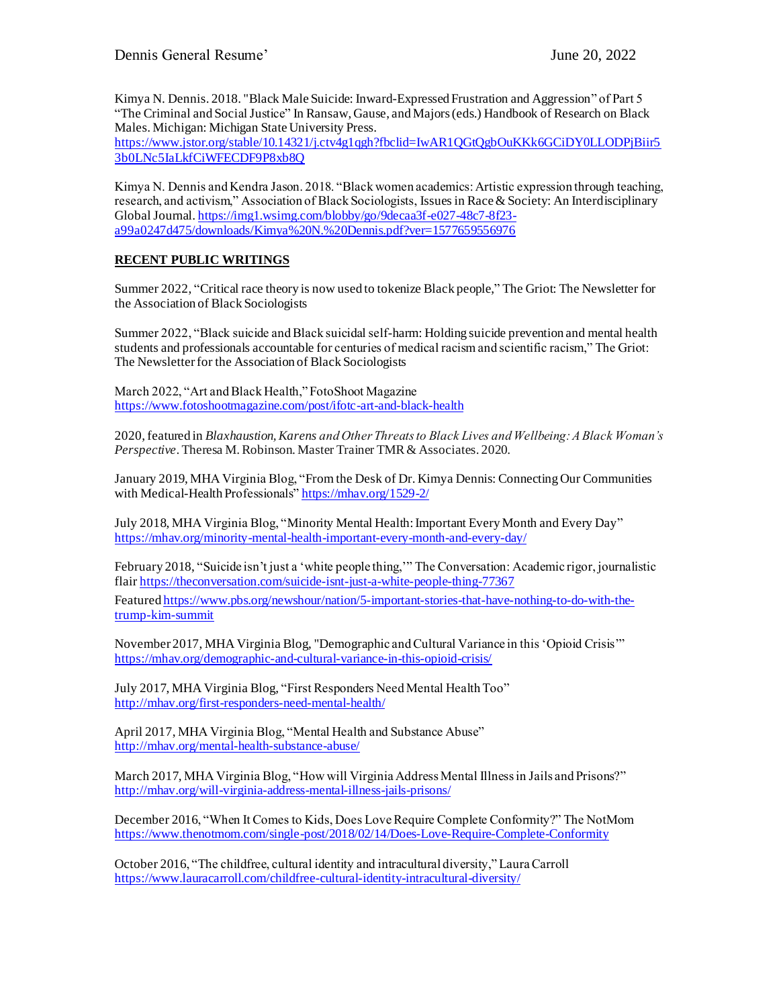Kimya N. Dennis. 2018. "Black Male Suicide: Inward-Expressed Frustration and Aggression" of Part 5 "The Criminal and Social Justice" In Ransaw, Gause, and Majors (eds.) Handbook of Research on Black Males. Michigan: Michigan State University Press.

[https://www.jstor.org/stable/10.14321/j.ctv4g1qgh?fbclid=IwAR1QGtQgbOuKKk6GCiDY0LLODPjBiir5](https://www.jstor.org/stable/10.14321/j.ctv4g1qgh?fbclid=IwAR1QGtQgbOuKKk6GCiDY0LLODPjBiir53b0LNc5IaLkfCiWFECDF9P8xb8Q) [3b0LNc5IaLkfCiWFECDF9P8xb8Q](https://www.jstor.org/stable/10.14321/j.ctv4g1qgh?fbclid=IwAR1QGtQgbOuKKk6GCiDY0LLODPjBiir53b0LNc5IaLkfCiWFECDF9P8xb8Q)

Kimya N. Dennis and Kendra Jason. 2018. "Black women academics: Artistic expression through teaching, research, and activism," Association of Black Sociologists, Issues in Race & Society: An Interdisciplinary Global Journal[. https://img1.wsimg.com/blobby/go/9decaa3f-e027-48c7-8f23](https://img1.wsimg.com/blobby/go/9decaa3f-e027-48c7-8f23-a99a0247d475/downloads/Kimya%20N.%20Dennis.pdf?ver=1577659556976) [a99a0247d475/downloads/Kimya%20N.%20Dennis.pdf?ver=1577659556976](https://img1.wsimg.com/blobby/go/9decaa3f-e027-48c7-8f23-a99a0247d475/downloads/Kimya%20N.%20Dennis.pdf?ver=1577659556976)

## **RECENT PUBLIC WRITINGS**

Summer 2022, "Critical race theory is now used to tokenize Black people," The Griot: The Newsletter for the Association of Black Sociologists

Summer 2022, "Black suicide and Black suicidal self-harm: Holding suicide prevention and mental health students and professionals accountable for centuries of medical racism and scientific racism," The Griot: The Newsletter for the Association of Black Sociologists

March 2022, "Art and Black Health," FotoShoot Magazine <https://www.fotoshootmagazine.com/post/ifotc-art-and-black-health>

2020, featured in *Blaxhaustion, Karens and Other Threats to Black Lives and Wellbeing: A Black Woman's Perspective*. Theresa M. Robinson. Master Trainer TMR & Associates. 2020.

January 2019, MHA Virginia Blog, "From the Desk of Dr. Kimya Dennis: Connecting Our Communities with Medical-Health Professionals[" https://mhav.org/1529-2/](https://mhav.org/1529-2/)

July 2018, MHA Virginia Blog, "Minority Mental Health: Important Every Month and Every Day" <https://mhav.org/minority-mental-health-important-every-month-and-every-day/>

February 2018, "Suicide isn't just a 'white people thing,'" The Conversation: Academic rigor, journalistic flai[r https://theconversation.com/suicide-isnt-just-a-white-people-thing-77367](https://theconversation.com/suicide-isnt-just-a-white-people-thing-77367)

Feature[d https://www.pbs.org/newshour/nation/5-important-stories-that-have-nothing-to-do-with-the](https://www.pbs.org/newshour/nation/5-important-stories-that-have-nothing-to-do-with-the-trump-kim-summit)[trump-kim-summit](https://www.pbs.org/newshour/nation/5-important-stories-that-have-nothing-to-do-with-the-trump-kim-summit)

November 2017, MHA Virginia Blog, "Demographic and Cultural Variance in this 'Opioid Crisis'" <https://mhav.org/demographic-and-cultural-variance-in-this-opioid-crisis/>

July 2017, MHA Virginia Blog, "First Responders Need Mental Health Too" <http://mhav.org/first-responders-need-mental-health/>

April 2017, MHA Virginia Blog, "Mental Health and Substance Abuse" <http://mhav.org/mental-health-substance-abuse/>

March 2017, MHA Virginia Blog, "How will Virginia Address Mental Illness in Jails and Prisons?" <http://mhav.org/will-virginia-address-mental-illness-jails-prisons/>

December 2016, "When It Comes to Kids, Does Love Require Complete Conformity?" The NotMom <https://www.thenotmom.com/single-post/2018/02/14/Does-Love-Require-Complete-Conformity>

October 2016, "The childfree, cultural identity and intracultural diversity," Laura Carroll <https://www.lauracarroll.com/childfree-cultural-identity-intracultural-diversity/>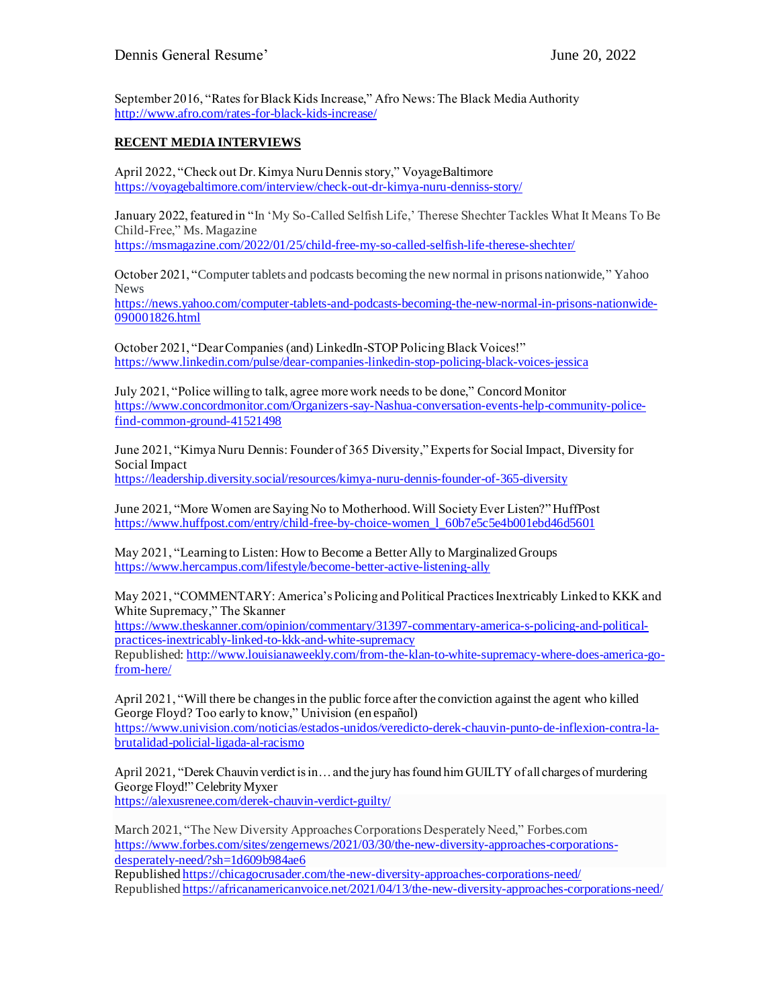September 2016, "Rates for Black Kids Increase," Afro News: The Black Media Authority <http://www.afro.com/rates-for-black-kids-increase/>

## **RECENT MEDIA INTERVIEWS**

April 2022, "Check out Dr. Kimya Nuru Dennis story," VoyageBaltimore <https://voyagebaltimore.com/interview/check-out-dr-kimya-nuru-denniss-story/>

January 2022, featured in "In 'My So-Called Selfish Life,' Therese Shechter Tackles What It Means To Be Child-Free," Ms. Magazine

<https://msmagazine.com/2022/01/25/child-free-my-so-called-selfish-life-therese-shechter/>

October 2021, "Computer tablets and podcasts becoming the new normal in prisons nationwide," Yahoo News

[https://news.yahoo.com/computer-tablets-and-podcasts-becoming-the-new-normal-in-prisons-nationwide-](https://news.yahoo.com/computer-tablets-and-podcasts-becoming-the-new-normal-in-prisons-nationwide-090001826.html)[090001826.html](https://news.yahoo.com/computer-tablets-and-podcasts-becoming-the-new-normal-in-prisons-nationwide-090001826.html)

October 2021, "Dear Companies (and) LinkedIn-STOP Policing Black Voices!" <https://www.linkedin.com/pulse/dear-companies-linkedin-stop-policing-black-voices-jessica>

July 2021, "Police willing to talk, agree more work needs to be done," Concord Monitor [https://www.concordmonitor.com/Organizers-say-Nashua-conversation-events-help-community-police](https://www.concordmonitor.com/Organizers-say-Nashua-conversation-events-help-community-police-find-common-ground-41521498)[find-common-ground-41521498](https://www.concordmonitor.com/Organizers-say-Nashua-conversation-events-help-community-police-find-common-ground-41521498)

June 2021, "Kimya Nuru Dennis: Founder of 365 Diversity," Experts for Social Impact, Diversity for Social Impact <https://leadership.diversity.social/resources/kimya-nuru-dennis-founder-of-365-diversity>

June 2021, "More Women are Saying No to Motherhood. Will Society Ever Listen?" HuffPost [https://www.huffpost.com/entry/child-free-by-choice-women\\_l\\_60b7e5c5e4b001ebd46d5601](https://www.huffpost.com/entry/child-free-by-choice-women_l_60b7e5c5e4b001ebd46d5601)

May 2021, "Learning to Listen: How to Become a Better Ally to Marginalized Groups <https://www.hercampus.com/lifestyle/become-better-active-listening-ally>

May 2021, "COMMENTARY: America's Policing and Political Practices Inextricably Linked to KKK and White Supremacy," The Skanner

[https://www.theskanner.com/opinion/commentary/31397-commentary-america-s-policing-and-political](https://www.theskanner.com/opinion/commentary/31397-commentary-america-s-policing-and-political-practices-inextricably-linked-to-kkk-and-white-supremacy)[practices-inextricably-linked-to-kkk-and-white-supremacy](https://www.theskanner.com/opinion/commentary/31397-commentary-america-s-policing-and-political-practices-inextricably-linked-to-kkk-and-white-supremacy)

Republished[: http://www.louisianaweekly.com/from-the-klan-to-white-supremacy-where-does-america-go](http://www.louisianaweekly.com/from-the-klan-to-white-supremacy-where-does-america-go-from-here/)[from-here/](http://www.louisianaweekly.com/from-the-klan-to-white-supremacy-where-does-america-go-from-here/)

April 2021, "Will there be changes in the public force after the conviction against the agent who killed George Floyd? Too early to know," Univision (en español) [https://www.univision.com/noticias/estados-unidos/veredicto-derek-chauvin-punto-de-inflexion-contra-la](https://www.univision.com/noticias/estados-unidos/veredicto-derek-chauvin-punto-de-inflexion-contra-la-brutalidad-policial-ligada-al-racismo)[brutalidad-policial-ligada-al-racismo](https://www.univision.com/noticias/estados-unidos/veredicto-derek-chauvin-punto-de-inflexion-contra-la-brutalidad-policial-ligada-al-racismo)

April 2021, "Derek Chauvin verdict is in… and the jury has found him GUILTY of all charges of murdering George Floyd!" Celebrity Myxer

<https://alexusrenee.com/derek-chauvin-verdict-guilty/>

March 2021, "The New Diversity Approaches Corporations Desperately Need," Forbes.com [https://www.forbes.com/sites/zengernews/2021/03/30/the-new-diversity-approaches-corporations](https://www.forbes.com/sites/zengernews/2021/03/30/the-new-diversity-approaches-corporations-desperately-need/?sh=1d609b984ae6)[desperately-need/?sh=1d609b984ae6](https://www.forbes.com/sites/zengernews/2021/03/30/the-new-diversity-approaches-corporations-desperately-need/?sh=1d609b984ae6)

Republishe[d https://chicagocrusader.com/the-new-diversity-approaches-corporations-need/](https://chicagocrusader.com/the-new-diversity-approaches-corporations-need/) Republishe[d https://africanamericanvoice.net/2021/04/13/the-new-diversity-approaches-corporations-need/](https://africanamericanvoice.net/2021/04/13/the-new-diversity-approaches-corporations-need/)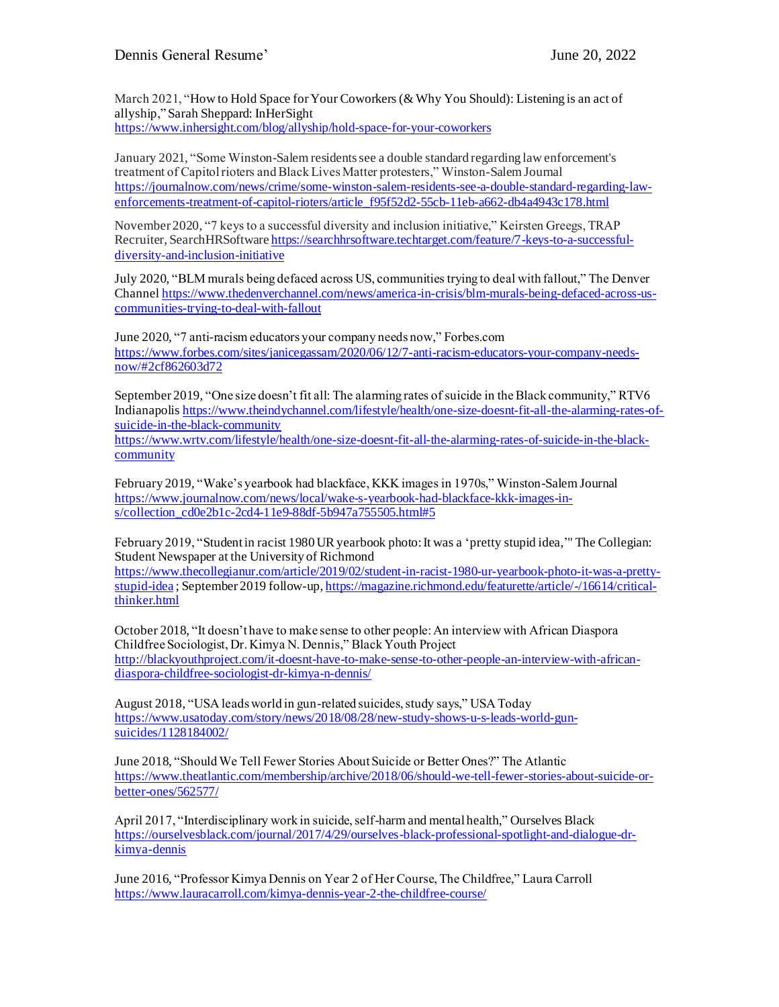March 2021, "How to Hold Space for Your Coworkers (& Why You Should): Listening is an act of allyship," Sarah Sheppard: InHerSight <https://www.inhersight.com/blog/allyship/hold-space-for-your-coworkers>

January 2021, "Some Winston-Salem residents see a double standard regarding law enforcement's treatment of Capitol rioters and Black Lives Matter protesters," Winston-Salem Journal [https://journalnow.com/news/crime/some-winston-salem-residents-see-a-double-standard-regarding-law](https://journalnow.com/news/crime/some-winston-salem-residents-see-a-double-standard-regarding-law-enforcements-treatment-of-capitol-rioters/article_f95f52d2-55cb-11eb-a662-db4a4943c178.html)[enforcements-treatment-of-capitol-rioters/article\\_f95f52d2-55cb-11eb-a662-db4a4943c178.html](https://journalnow.com/news/crime/some-winston-salem-residents-see-a-double-standard-regarding-law-enforcements-treatment-of-capitol-rioters/article_f95f52d2-55cb-11eb-a662-db4a4943c178.html)

November 2020, "7 keys to a successful diversity and inclusion initiative," Keirsten Greegs, TRAP Recruiter, SearchHRSoftwar[e https://searchhrsoftware.techtarget.com/feature/7-keys-to-a-successful](https://searchhrsoftware.techtarget.com/feature/7-keys-to-a-successful-diversity-and-inclusion-initiative)[diversity-and-inclusion-initiative](https://searchhrsoftware.techtarget.com/feature/7-keys-to-a-successful-diversity-and-inclusion-initiative)

July 2020, "BLM murals being defaced across US, communities trying to deal with fallout," The Denver Channe[l https://www.thedenverchannel.com/news/america-in-crisis/blm-murals-being-defaced-across-us](https://www.thedenverchannel.com/news/america-in-crisis/blm-murals-being-defaced-across-us-communities-trying-to-deal-with-fallout)[communities-trying-to-deal-with-fallout](https://www.thedenverchannel.com/news/america-in-crisis/blm-murals-being-defaced-across-us-communities-trying-to-deal-with-fallout)

June 2020, "7 anti-racism educators your company needs now," Forbes.com [https://www.forbes.com/sites/janicegassam/2020/06/12/7-anti-racism-educators-your-company-needs](https://www.forbes.com/sites/janicegassam/2020/06/12/7-anti-racism-educators-your-company-needs-now/#2cf862603d72)[now/#2cf862603d72](https://www.forbes.com/sites/janicegassam/2020/06/12/7-anti-racism-educators-your-company-needs-now/#2cf862603d72)

September 2019, "One size doesn't fit all: The alarming rates of suicide in the Black community," RTV6 Indianapolis [https://www.theindychannel.com/lifestyle/health/one-size-doesnt-fit-all-the-alarming-rates-of](https://www.theindychannel.com/lifestyle/health/one-size-doesnt-fit-all-the-alarming-rates-of-suicide-in-the-black-community)[suicide-in-the-black-community](https://www.theindychannel.com/lifestyle/health/one-size-doesnt-fit-all-the-alarming-rates-of-suicide-in-the-black-community)

[https://www.wrtv.com/lifestyle/health/one-size-doesnt-fit-all-the-alarming-rates-of-suicide-in-the-black](https://www.wrtv.com/lifestyle/health/one-size-doesnt-fit-all-the-alarming-rates-of-suicide-in-the-black-community)[community](https://www.wrtv.com/lifestyle/health/one-size-doesnt-fit-all-the-alarming-rates-of-suicide-in-the-black-community)

February 2019, "Wake's yearbook had blackface, KKK images in 1970s," Winston-Salem Journal [https://www.journalnow.com/news/local/wake-s-yearbook-had-blackface-kkk-images-in](https://www.journalnow.com/news/local/wake-s-yearbook-had-blackface-kkk-images-in-s/collection_cd0e2b1c-2cd4-11e9-88df-5b947a755505.html#5)[s/collection\\_cd0e2b1c-2cd4-11e9-88df-5b947a755505.html#5](https://www.journalnow.com/news/local/wake-s-yearbook-had-blackface-kkk-images-in-s/collection_cd0e2b1c-2cd4-11e9-88df-5b947a755505.html#5)

February 2019, "Student in racist 1980 UR yearbook photo: It was a 'pretty stupid idea,'" The Collegian: Student Newspaper at the University of Richmond

[https://www.thecollegianur.com/article/2019/02/student-in-racist-1980-ur-yearbook-photo-it-was-a-pretty](https://www.thecollegianur.com/article/2019/02/student-in-racist-1980-ur-yearbook-photo-it-was-a-pretty-stupid-idea)[stupid-idea](https://www.thecollegianur.com/article/2019/02/student-in-racist-1980-ur-yearbook-photo-it-was-a-pretty-stupid-idea) ; September 2019 follow-up[, https://magazine.richmond.edu/featurette/article/-/16614/critical](https://magazine.richmond.edu/featurette/article/-/16614/critical-thinker.html)[thinker.html](https://magazine.richmond.edu/featurette/article/-/16614/critical-thinker.html)

October 2018, "It doesn't have to make sense to other people: An interview with African Diaspora Childfree Sociologist, Dr. Kimya N. Dennis," Black Youth Project [http://blackyouthproject.com/it-doesnt-have-to-make-sense-to-other-people-an-interview-with-african](http://blackyouthproject.com/it-doesnt-have-to-make-sense-to-other-people-an-interview-with-african-diaspora-childfree-sociologist-dr-kimya-n-dennis/)[diaspora-childfree-sociologist-dr-kimya-n-dennis/](http://blackyouthproject.com/it-doesnt-have-to-make-sense-to-other-people-an-interview-with-african-diaspora-childfree-sociologist-dr-kimya-n-dennis/)

August 2018, "USA leads world in gun-related suicides, study says," USA Today [https://www.usatoday.com/story/news/2018/08/28/new-study-shows-u-s-leads-world-gun](https://www.usatoday.com/story/news/2018/08/28/new-study-shows-u-s-leads-world-gun-suicides/1128184002/)[suicides/1128184002/](https://www.usatoday.com/story/news/2018/08/28/new-study-shows-u-s-leads-world-gun-suicides/1128184002/)

June 2018, "Should We Tell Fewer Stories About Suicide or Better Ones?" The Atlantic [https://www.theatlantic.com/membership/archive/2018/06/should-we-tell-fewer-stories-about-suicide-or](https://www.theatlantic.com/membership/archive/2018/06/should-we-tell-fewer-stories-about-suicide-or-better-ones/562577/)[better-ones/562577/](https://www.theatlantic.com/membership/archive/2018/06/should-we-tell-fewer-stories-about-suicide-or-better-ones/562577/)

April 2017, "Interdisciplinary work in suicide, self-harm and mental health," Ourselves Black [https://ourselvesblack.com/journal/2017/4/29/ourselves-black-professional-spotlight-and-dialogue-dr](https://ourselvesblack.com/journal/2017/4/29/ourselves-black-professional-spotlight-and-dialogue-dr-kimya-dennis)[kimya-dennis](https://ourselvesblack.com/journal/2017/4/29/ourselves-black-professional-spotlight-and-dialogue-dr-kimya-dennis)

June 2016, "Professor Kimya Dennis on Year 2 of Her Course, The Childfree," Laura Carroll <https://www.lauracarroll.com/kimya-dennis-year-2-the-childfree-course/>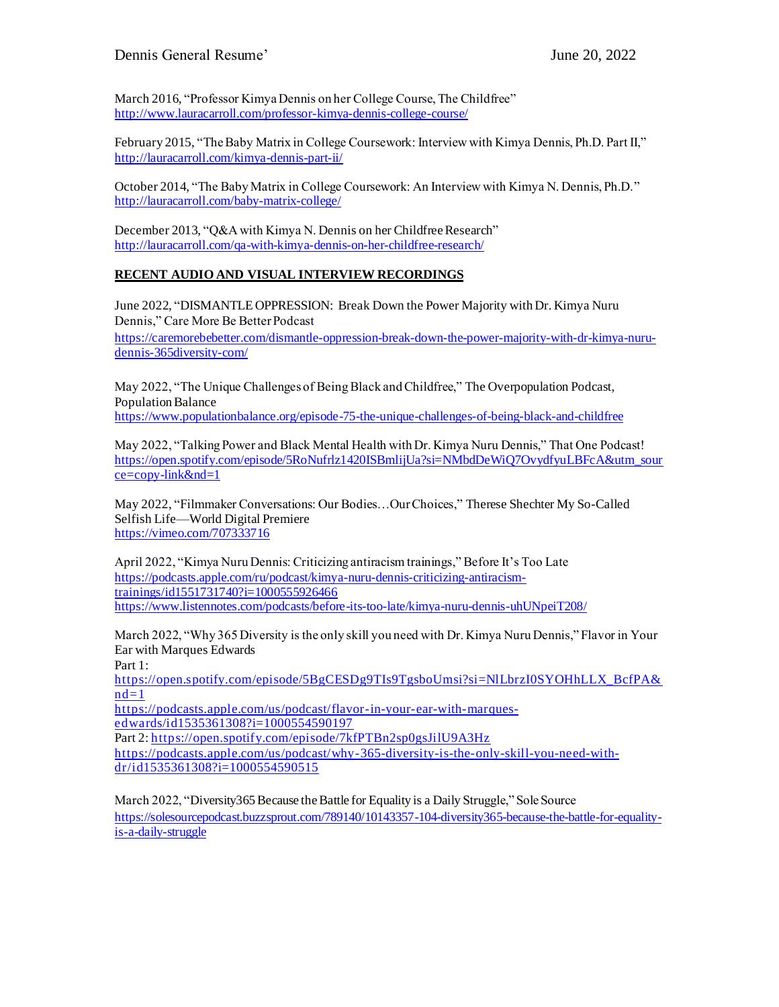Dennis General Resume' June 20, 2022

March 2016, "Professor Kimya Dennis on her College Course, The Childfree" <http://www.lauracarroll.com/professor-kimya-dennis-college-course/>

February 2015, "The Baby Matrix in College Coursework: Interview with Kimya Dennis, Ph.D. Part II," <http://lauracarroll.com/kimya-dennis-part-ii/>

October 2014, "The Baby Matrix in College Coursework: An Interview with Kimya N. Dennis, Ph.D." <http://lauracarroll.com/baby-matrix-college/>

December 2013, "Q&A with Kimya N. Dennis on her Childfree Research" <http://lauracarroll.com/qa-with-kimya-dennis-on-her-childfree-research/>

## **RECENT AUDIO AND VISUAL INTERVIEW RECORDINGS**

June 2022, "DISMANTLE OPPRESSION: Break Down the Power Majority with Dr. Kimya Nuru Dennis," Care More Be Better Podcast [https://caremorebebetter.com/dismantle-oppression-break-down-the-power-majority-with-dr-kimya-nuru](https://caremorebebetter.com/dismantle-oppression-break-down-the-power-majority-with-dr-kimya-nuru-dennis-365diversity-com/)[dennis-365diversity-com/](https://caremorebebetter.com/dismantle-oppression-break-down-the-power-majority-with-dr-kimya-nuru-dennis-365diversity-com/)

May 2022, "The Unique Challenges of Being Black and Childfree," The Overpopulation Podcast, Population Balance <https://www.populationbalance.org/episode-75-the-unique-challenges-of-being-black-and-childfree>

May 2022, "Talking Power and Black Mental Health with Dr. Kimya Nuru Dennis," That One Podcast! [https://open.spotify.com/episode/5RoNufrlz1420ISBmlijUa?si=NMbdDeWiQ7OvydfyuLBFcA&utm\\_sour](https://open.spotify.com/episode/5RoNufrlz1420ISBmlijUa?si=NMbdDeWiQ7OvydfyuLBFcA&utm_source=copy-link&nd=1) [ce=copy-link&nd=1](https://open.spotify.com/episode/5RoNufrlz1420ISBmlijUa?si=NMbdDeWiQ7OvydfyuLBFcA&utm_source=copy-link&nd=1)

May 2022, "Filmmaker Conversations: Our Bodies…Our Choices," Therese Shechter My So-Called Selfish Life—World Digital Premiere <https://vimeo.com/707333716>

April 2022, "Kimya Nuru Dennis: Criticizing antiracism trainings," Before It's Too Late [https://podcasts.apple.com/ru/podcast/kimya-nuru-dennis-criticizing-antiracism](https://podcasts.apple.com/ru/podcast/kimya-nuru-dennis-criticizing-antiracism-trainings/id1551731740?i=1000555926466)[trainings/id1551731740?i=1000555926466](https://podcasts.apple.com/ru/podcast/kimya-nuru-dennis-criticizing-antiracism-trainings/id1551731740?i=1000555926466) <https://www.listennotes.com/podcasts/before-its-too-late/kimya-nuru-dennis-uhUNpeiT208/>

March 2022, "Why 365 Diversity is the only skill you need with Dr. Kimya Nuru Dennis," Flavor in Your Ear with Marques Edwards

Part 1:

[https://open.spotify.com/episode/5BgCESDg9TIs9TgsboUmsi?si=NlLbrzI0SYOHhLLX\\_BcfPA&](https://open.spotify.com/episode/5BgCESDg9TIs9TgsboUmsi?si=NlLbrzI0SYOHhLLX_BcfPA&nd=1)  $nd=1$ 

[https://podcasts.apple.com/us/podcast/flavor-in-your-ear-with-marques](https://podcasts.apple.com/us/podcast/flavor-in-your-ear-with-marques-edwards/id1535361308?i=1000554590197)[edwards/id1535361308?i=1000554590197](https://podcasts.apple.com/us/podcast/flavor-in-your-ear-with-marques-edwards/id1535361308?i=1000554590197)

Part 2:<https://open.spotify.com/episode/7kfPTBn2sp0gsJilU9A3Hz>

[https://podcasts.apple.com/us/podcast/why-365-diversity-is-the-only-skill-you-need-with](https://podcasts.apple.com/us/podcast/why-365-diversity-is-the-only-skill-you-need-with-dr/id1535361308?i=1000554590515)[dr/id1535361308?i=1000554590515](https://podcasts.apple.com/us/podcast/why-365-diversity-is-the-only-skill-you-need-with-dr/id1535361308?i=1000554590515)

March 2022, "Diversity365 Because the Battle for Equality is a Daily Struggle," Sole Source [https://solesourcepodcast.buzzsprout.com/789140/10143357-104-diversity365-because-the-battle-for-equality](https://solesourcepodcast.buzzsprout.com/789140/10143357-104-diversity365-because-the-battle-for-equality-is-a-daily-struggle)[is-a-daily-struggle](https://solesourcepodcast.buzzsprout.com/789140/10143357-104-diversity365-because-the-battle-for-equality-is-a-daily-struggle)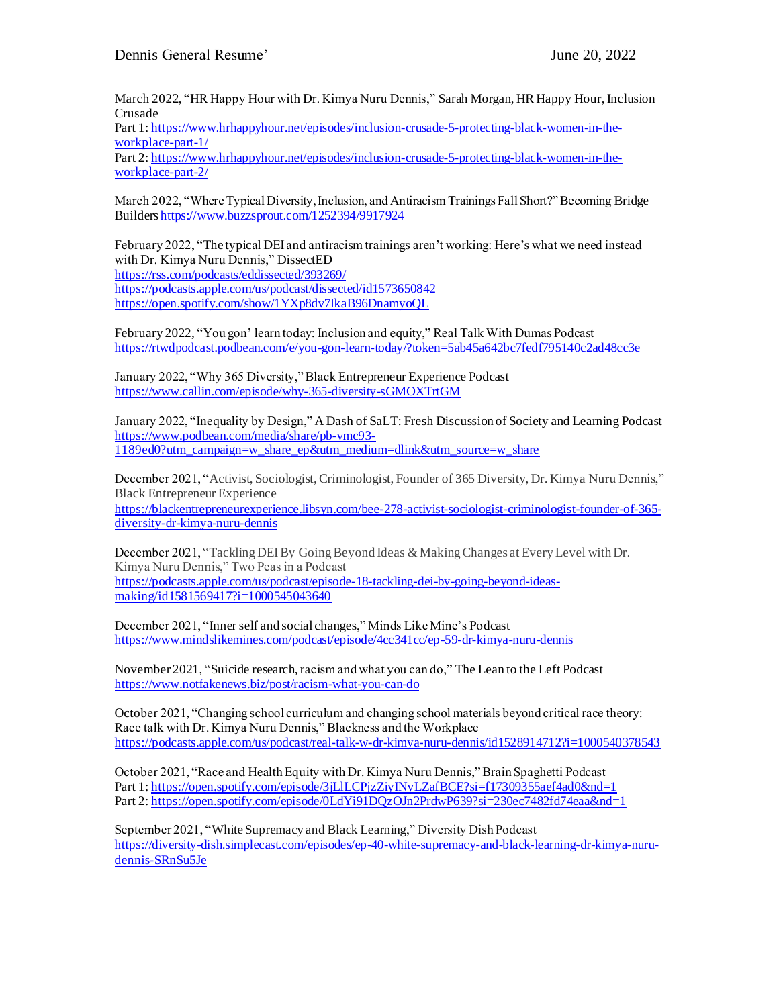March 2022, "HR Happy Hour with Dr. Kimya Nuru Dennis," Sarah Morgan, HR Happy Hour, Inclusion Crusade

Part 1: [https://www.hrhappyhour.net/episodes/inclusion-crusade-5-protecting-black-women-in-the](https://www.hrhappyhour.net/episodes/inclusion-crusade-5-protecting-black-women-in-the-workplace-part-1/)[workplace-part-1/](https://www.hrhappyhour.net/episodes/inclusion-crusade-5-protecting-black-women-in-the-workplace-part-1/)

Part 2: [https://www.hrhappyhour.net/episodes/inclusion-crusade-5-protecting-black-women-in-the](https://www.hrhappyhour.net/episodes/inclusion-crusade-5-protecting-black-women-in-the-workplace-part-2/)[workplace-part-2/](https://www.hrhappyhour.net/episodes/inclusion-crusade-5-protecting-black-women-in-the-workplace-part-2/)

March 2022, "Where Typical Diversity, Inclusion, and Antiracism Trainings Fall Short?" Becoming Bridge Builders <https://www.buzzsprout.com/1252394/9917924>

February 2022, "The typical DEI and antiracism trainings aren't working: Here's what we need instead with Dr. Kimya Nuru Dennis," DissectED <https://rss.com/podcasts/eddissected/393269/> <https://podcasts.apple.com/us/podcast/dissected/id1573650842> <https://open.spotify.com/show/1YXp8dv7IkaB96DnamyoQL>

February 2022, "You gon' learn today: Inclusion and equity," Real Talk With Dumas Podcast <https://rtwdpodcast.podbean.com/e/you-gon-learn-today/?token=5ab45a642bc7fedf795140c2ad48cc3e>

January 2022, "Why 365 Diversity," Black Entrepreneur Experience Podcast <https://www.callin.com/episode/why-365-diversity-sGMOXTrtGM>

January 2022, "Inequality by Design," A Dash of SaLT: Fresh Discussion of Society and Learning Podcast [https://www.podbean.com/media/share/pb-vmc93-](https://www.podbean.com/media/share/pb-vmc93-1189ed0?utm_campaign=w_share_ep&utm_medium=dlink&utm_source=w_share) [1189ed0?utm\\_campaign=w\\_share\\_ep&utm\\_medium=dlink&utm\\_source=w\\_share](https://www.podbean.com/media/share/pb-vmc93-1189ed0?utm_campaign=w_share_ep&utm_medium=dlink&utm_source=w_share)

December 2021, "Activist, Sociologist, Criminologist, Founder of 365 Diversity, Dr. Kimya Nuru Dennis," Black Entrepreneur Experience [https://blackentrepreneurexperience.libsyn.com/bee-278-activist-sociologist-criminologist-founder-of-365](https://blackentrepreneurexperience.libsyn.com/bee-278-activist-sociologist-criminologist-founder-of-365-diversity-dr-kimya-nuru-dennis) [diversity-dr-kimya-nuru-dennis](https://blackentrepreneurexperience.libsyn.com/bee-278-activist-sociologist-criminologist-founder-of-365-diversity-dr-kimya-nuru-dennis)

December 2021, "Tackling DEI By Going Beyond Ideas & Making Changes at Every Level with Dr. Kimya Nuru Dennis," Two Peas in a Podcast [https://podcasts.apple.com/us/podcast/episode-18-tackling-dei-by-going-beyond-ideas](https://podcasts.apple.com/us/podcast/episode-18-tackling-dei-by-going-beyond-ideas-making/id1581569417?i=1000545043640)[making/id1581569417?i=1000545043640](https://podcasts.apple.com/us/podcast/episode-18-tackling-dei-by-going-beyond-ideas-making/id1581569417?i=1000545043640)

December 2021, "Inner self and social changes," Minds Like Mine's Podcast <https://www.mindslikemines.com/podcast/episode/4cc341cc/ep-59-dr-kimya-nuru-dennis>

November 2021, "Suicide research, racism and what you can do," The Lean to the Left Podcast <https://www.notfakenews.biz/post/racism-what-you-can-do>

October 2021, "Changing school curriculum and changing school materials beyond critical race theory: Race talk with Dr. Kimya Nuru Dennis," Blackness and the Workplace <https://podcasts.apple.com/us/podcast/real-talk-w-dr-kimya-nuru-dennis/id1528914712?i=1000540378543>

October 2021, "Race and Health Equity with Dr. Kimya Nuru Dennis," Brain Spaghetti Podcast Part 1: https://open.spotify.com/episode/3jLILCPjzZiyINvLZafBCE?si=f17309355aef4ad0&nd=1 Part 2: <https://open.spotify.com/episode/0LdYi91DQzOJn2PrdwP639?si=230ec7482fd74eaa&nd=1>

September 2021, "White Supremacy and Black Learning," Diversity Dish Podcast [https://diversity-dish.simplecast.com/episodes/ep-40-white-supremacy-and-black-learning-dr-kimya-nuru](https://diversity-dish.simplecast.com/episodes/ep-40-white-supremacy-and-black-learning-dr-kimya-nuru-dennis-SRnSu5Je)[dennis-SRnSu5Je](https://diversity-dish.simplecast.com/episodes/ep-40-white-supremacy-and-black-learning-dr-kimya-nuru-dennis-SRnSu5Je)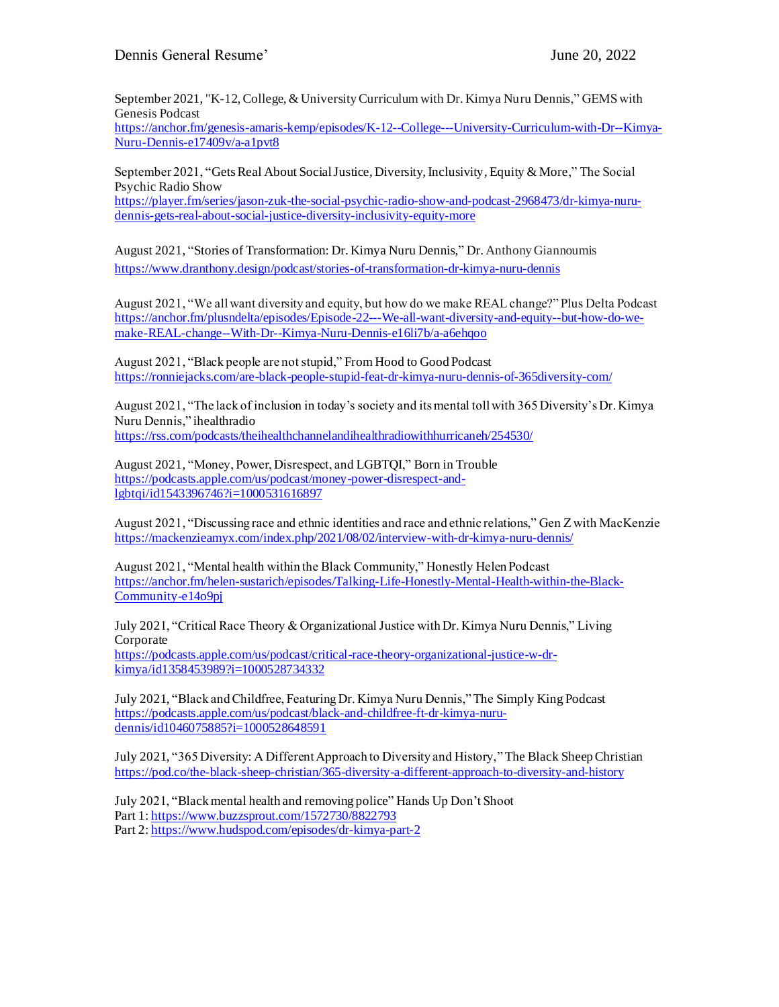September 2021, "K-12, College, & University Curriculum with Dr. Kimya Nuru Dennis," GEMS with Genesis Podcast

[https://anchor.fm/genesis-amaris-kemp/episodes/K-12--College---University-Curriculum-with-Dr--Kimya-](https://anchor.fm/genesis-amaris-kemp/episodes/K-12--College---University-Curriculum-with-Dr--Kimya-Nuru-Dennis-e17409v/a-a1pvt8)[Nuru-Dennis-e17409v/a-a1pvt8](https://anchor.fm/genesis-amaris-kemp/episodes/K-12--College---University-Curriculum-with-Dr--Kimya-Nuru-Dennis-e17409v/a-a1pvt8)

September 2021, ["Gets Real About Social Justice, Diversity, Inclusivity, Equity & More,](https://player.fm/series/jason-zuk-the-social-psychic-radio-show-and-podcast-2968473/dr-kimya-nuru-dennis-gets-real-about-social-justice-diversity-inclusivity-equity-more)" The Social Psychic Radio Show

[https://player.fm/series/jason-zuk-the-social-psychic-radio-show-and-podcast-2968473/dr-kimya-nuru](https://player.fm/series/jason-zuk-the-social-psychic-radio-show-and-podcast-2968473/dr-kimya-nuru-dennis-gets-real-about-social-justice-diversity-inclusivity-equity-more)[dennis-gets-real-about-social-justice-diversity-inclusivity-equity-more](https://player.fm/series/jason-zuk-the-social-psychic-radio-show-and-podcast-2968473/dr-kimya-nuru-dennis-gets-real-about-social-justice-diversity-inclusivity-equity-more)

August 2021, "Stories of Transformation: Dr. Kimya Nuru Dennis," Dr. Anthony Giannoumis <https://www.dranthony.design/podcast/stories-of-transformation-dr-kimya-nuru-dennis>

August 2021, "We all want diversity and equity, but how do we make REAL change?" Plus Delta Podcast [https://anchor.fm/plusndelta/episodes/Episode-22---We-all-want-diversity-and-equity--but-how-do-we](https://anchor.fm/plusndelta/episodes/Episode-22---We-all-want-diversity-and-equity--but-how-do-we-make-REAL-change--With-Dr--Kimya-Nuru-Dennis-e16li7b/a-a6ehqoo)[make-REAL-change--With-Dr--Kimya-Nuru-Dennis-e16li7b/a-a6ehqoo](https://anchor.fm/plusndelta/episodes/Episode-22---We-all-want-diversity-and-equity--but-how-do-we-make-REAL-change--With-Dr--Kimya-Nuru-Dennis-e16li7b/a-a6ehqoo)

August 2021, "Black people are not stupid," From Hood to Good Podcast <https://ronniejacks.com/are-black-people-stupid-feat-dr-kimya-nuru-dennis-of-365diversity-com/>

August 2021, "The lack of inclusion in today's society and its mental toll with 365 Diversity's Dr. Kimya Nuru Dennis," ihealthradio <https://rss.com/podcasts/theihealthchannelandihealthradiowithhurricaneh/254530/>

August 2021, "Money, Power, Disrespect, and LGBTQI," Born in Trouble [https://podcasts.apple.com/us/podcast/money-power-disrespect-and](https://podcasts.apple.com/us/podcast/money-power-disrespect-and-lgbtqi/id1543396746?i=1000531616897)[lgbtqi/id1543396746?i=1000531616897](https://podcasts.apple.com/us/podcast/money-power-disrespect-and-lgbtqi/id1543396746?i=1000531616897)

August 2021, "Discussing race and ethnic identities and race and ethnic relations," Gen Z with MacKenzie <https://mackenzieamyx.com/index.php/2021/08/02/interview-with-dr-kimya-nuru-dennis/>

August 2021, "Mental health within the Black Community," Honestly Helen Podcast [https://anchor.fm/helen-sustarich/episodes/Talking-Life-Honestly-Mental-Health-within-the-Black-](https://anchor.fm/helen-sustarich/episodes/Talking-Life-Honestly-Mental-Health-within-the-Black-Community-e14o9pj)[Community-e14o9pj](https://anchor.fm/helen-sustarich/episodes/Talking-Life-Honestly-Mental-Health-within-the-Black-Community-e14o9pj)

July 2021, "Critical Race Theory & Organizational Justice with Dr. Kimya Nuru Dennis," Living Corporate [https://podcasts.apple.com/us/podcast/critical-race-theory-organizational-justice-w-dr](https://podcasts.apple.com/us/podcast/critical-race-theory-organizational-justice-w-dr-kimya/id1358453989?i=1000528734332)[kimya/id1358453989?i=1000528734332](https://podcasts.apple.com/us/podcast/critical-race-theory-organizational-justice-w-dr-kimya/id1358453989?i=1000528734332)

July 2021, "Black and Childfree, Featuring Dr. Kimya Nuru Dennis," The Simply King Podcast [https://podcasts.apple.com/us/podcast/black-and-childfree-ft-dr-kimya-nuru](https://podcasts.apple.com/us/podcast/black-and-childfree-ft-dr-kimya-nuru-dennis/id1046075885?i=1000528648591)[dennis/id1046075885?i=1000528648591](https://podcasts.apple.com/us/podcast/black-and-childfree-ft-dr-kimya-nuru-dennis/id1046075885?i=1000528648591)

July 2021, "365 Diversity: A Different Approach to Diversity and History,"The Black Sheep Christian <https://pod.co/the-black-sheep-christian/365-diversity-a-different-approach-to-diversity-and-history>

July 2021, "Black mental health and removing police" Hands Up Don't Shoot Part 1:<https://www.buzzsprout.com/1572730/8822793> Part 2:<https://www.hudspod.com/episodes/dr-kimya-part-2>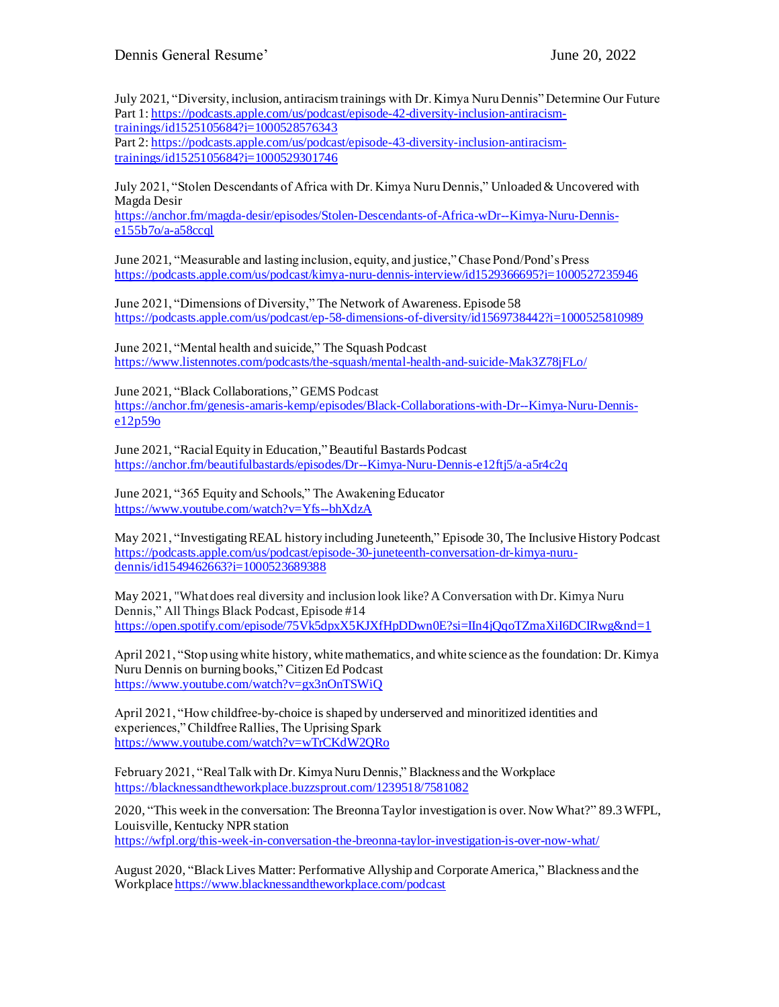July 2021, "Diversity, inclusion, antiracism trainings with Dr. Kimya Nuru Dennis" Determine Our Future Part 1: [https://podcasts.apple.com/us/podcast/episode-42-diversity-inclusion-antiracism](https://podcasts.apple.com/us/podcast/episode-42-diversity-inclusion-antiracism-trainings/id1525105684?i=1000528576343)[trainings/id1525105684?i=1000528576343](https://podcasts.apple.com/us/podcast/episode-42-diversity-inclusion-antiracism-trainings/id1525105684?i=1000528576343) Part 2: [https://podcasts.apple.com/us/podcast/episode-43-diversity-inclusion-antiracism-](https://podcasts.apple.com/us/podcast/episode-43-diversity-inclusion-antiracism-trainings/id1525105684?i=1000529301746)

[trainings/id1525105684?i=1000529301746](https://podcasts.apple.com/us/podcast/episode-43-diversity-inclusion-antiracism-trainings/id1525105684?i=1000529301746)

July 2021, "Stolen Descendants of Africa with Dr. Kimya Nuru Dennis," Unloaded & Uncovered with Magda Desir

[https://anchor.fm/magda-desir/episodes/Stolen-Descendants-of-Africa-wDr--Kimya-Nuru-Dennis](https://anchor.fm/magda-desir/episodes/Stolen-Descendants-of-Africa-wDr--Kimya-Nuru-Dennis-e155b7o/a-a58ccql) $e155b7o/a-a58ccq$ 

June 2021, "Measurable and lasting inclusion, equity, and justice," Chase Pond/Pond's Press <https://podcasts.apple.com/us/podcast/kimya-nuru-dennis-interview/id1529366695?i=1000527235946>

June 2021, "Dimensions of Diversity," The Network of Awareness. Episode 58 <https://podcasts.apple.com/us/podcast/ep-58-dimensions-of-diversity/id1569738442?i=1000525810989>

June 2021, "Mental health and suicide," The Squash Podcast <https://www.listennotes.com/podcasts/the-squash/mental-health-and-suicide-Mak3Z78jFLo/>

June 2021, "Black Collaborations," GEMS Podcast

[https://anchor.fm/genesis-amaris-kemp/episodes/Black-Collaborations-with-Dr--Kimya-Nuru-Dennis](https://anchor.fm/genesis-amaris-kemp/episodes/Black-Collaborations-with-Dr--Kimya-Nuru-Dennis-e12p59o)[e12p59o](https://anchor.fm/genesis-amaris-kemp/episodes/Black-Collaborations-with-Dr--Kimya-Nuru-Dennis-e12p59o)

June 2021, "Racial Equity in Education,"Beautiful Bastards Podcast <https://anchor.fm/beautifulbastards/episodes/Dr--Kimya-Nuru-Dennis-e12ftj5/a-a5r4c2q>

June 2021, "365 Equity and Schools," The Awakening Educator <https://www.youtube.com/watch?v=Yfs--bhXdzA>

May 2021, "Investigating REAL history including Juneteenth," Episode 30, The Inclusive History Podcast [https://podcasts.apple.com/us/podcast/episode-30-juneteenth-conversation-dr-kimya-nuru](https://podcasts.apple.com/us/podcast/episode-30-juneteenth-conversation-dr-kimya-nuru-dennis/id1549462663?i=1000523689388)[dennis/id1549462663?i=1000523689388](https://podcasts.apple.com/us/podcast/episode-30-juneteenth-conversation-dr-kimya-nuru-dennis/id1549462663?i=1000523689388)

May 2021, "What does real diversity and inclusion look like? A Conversation with Dr. Kimya Nuru Dennis," All Things Black Podcast, Episode #14 <https://open.spotify.com/episode/75Vk5dpxX5KJXfHpDDwn0E?si=IIn4jQqoTZmaXiI6DCIRwg&nd=1>

April 2021, "Stop using white history, white mathematics, and white science as the foundation: Dr. Kimya Nuru Dennis on burning books," Citizen Ed Podcast <https://www.youtube.com/watch?v=gx3nOnTSWiQ>

April 2021, "How childfree-by-choice is shaped by underserved and minoritized identities and experiences," Childfree Rallies, The Uprising Spark <https://www.youtube.com/watch?v=wTrCKdW2QRo>

February 2021, "Real Talk with Dr. Kimya Nuru Dennis," Blackness and the Workplace <https://blacknessandtheworkplace.buzzsprout.com/1239518/7581082>

2020, "This week in the conversation: The Breonna Taylor investigation is over. Now What?" 89.3 WFPL, Louisville, Kentucky NPR station <https://wfpl.org/this-week-in-conversation-the-breonna-taylor-investigation-is-over-now-what/>

August 2020, "Black Lives Matter: Performative Allyship and Corporate America," Blackness and the Workplac[e https://www.blacknessandtheworkplace.com/podcast](https://www.blacknessandtheworkplace.com/podcast)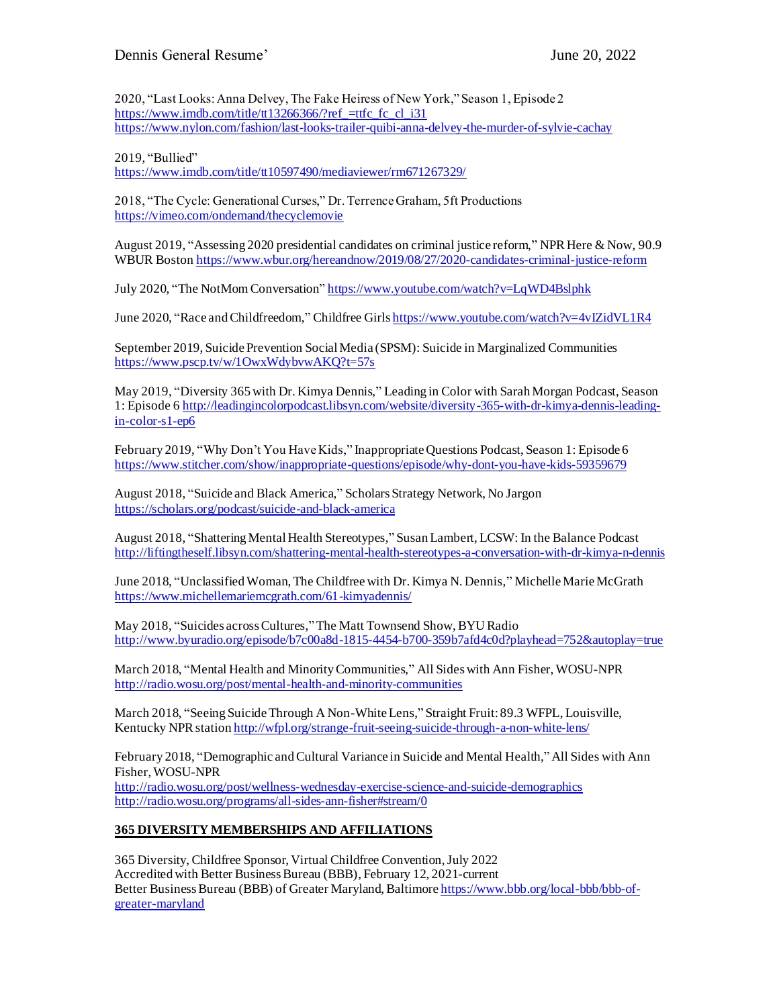2020, "Last Looks: Anna Delvey, The Fake Heiress of New York," Season 1, Episode 2 https://www.imdb.com/title/tt13266366/?ref =ttfc fc cl i31 <https://www.nylon.com/fashion/last-looks-trailer-quibi-anna-delvey-the-murder-of-sylvie-cachay>

2019, "Bullied"

<https://www.imdb.com/title/tt10597490/mediaviewer/rm671267329/>

2018, "The Cycle: Generational Curses," Dr. Terrence Graham, 5ft Productions <https://vimeo.com/ondemand/thecyclemovie>

August 2019, "Assessing 2020 presidential candidates on criminal justice reform," NPR Here & Now, 90.9 WBUR Bosto[n https://www.wbur.org/hereandnow/2019/08/27/2020-candidates-criminal-justice-reform](https://www.wbur.org/hereandnow/2019/08/27/2020-candidates-criminal-justice-reform)

July 2020, "The NotMom Conversation" <https://www.youtube.com/watch?v=LqWD4Bslphk>

June 2020, "Race and Childfreedom," Childfree Girl[s https://www.youtube.com/watch?v=4vIZidVL1R4](https://www.youtube.com/watch?v=4vIZidVL1R4)

September 2019, Suicide Prevention Social Media (SPSM): Suicide in Marginalized Communities <https://www.pscp.tv/w/1OwxWdybvwAKQ?t=57s>

May 2019, "Diversity 365 with Dr. Kimya Dennis," Leading in Color with Sarah Morgan Podcast, Season 1: Episode [6 http://leadingincolorpodcast.libsyn.com/website/diversity-365-with-dr-kimya-dennis-leading](http://leadingincolorpodcast.libsyn.com/website/diversity-365-with-dr-kimya-dennis-leading-in-color-s1-ep6)[in-color-s1-ep6](http://leadingincolorpodcast.libsyn.com/website/diversity-365-with-dr-kimya-dennis-leading-in-color-s1-ep6)

February 2019, "Why Don't You Have Kids," Inappropriate Questions Podcast, Season 1: Episode 6 <https://www.stitcher.com/show/inappropriate-questions/episode/why-dont-you-have-kids-59359679>

August 2018, "Suicide and Black America," Scholars Strategy Network, No Jargon <https://scholars.org/podcast/suicide-and-black-america>

August 2018, "Shattering Mental Health Stereotypes," Susan Lambert, LCSW: In the Balance Podcast <http://liftingtheself.libsyn.com/shattering-mental-health-stereotypes-a-conversation-with-dr-kimya-n-dennis>

June 2018, "Unclassified Woman, The Childfree with Dr. Kimya N. Dennis," Michelle Marie McGrath <https://www.michellemariemcgrath.com/61-kimyadennis/>

May 2018, "Suicides across Cultures,"The Matt Townsend Show, BYU Radio <http://www.byuradio.org/episode/b7c00a8d-1815-4454-b700-359b7afd4c0d?playhead=752&autoplay=true>

March 2018, "Mental Health and Minority Communities," All Sides with Ann Fisher, WOSU-NPR <http://radio.wosu.org/post/mental-health-and-minority-communities>

March 2018, "Seeing Suicide Through A Non-White Lens," Straight Fruit: 89.3 WFPL, Louisville, Kentucky NPR station <http://wfpl.org/strange-fruit-seeing-suicide-through-a-non-white-lens/>

February 2018, "Demographic and Cultural Variance in Suicide and Mental Health,"All Sides with Ann Fisher, WOSU-NPR <http://radio.wosu.org/post/wellness-wednesday-exercise-science-and-suicide-demographics> <http://radio.wosu.org/programs/all-sides-ann-fisher#stream/0>

## **365 DIVERSITY MEMBERSHIPS AND AFFILIATIONS**

365 Diversity, Childfree Sponsor, Virtual Childfree Convention, July 2022 Accredited with Better Business Bureau (BBB), February 12, 2021-current Better Business Bureau (BBB) of Greater Maryland, Baltimore [https://www.bbb.org/local-bbb/bbb-of](https://www.bbb.org/local-bbb/bbb-of-greater-maryland)[greater-maryland](https://www.bbb.org/local-bbb/bbb-of-greater-maryland)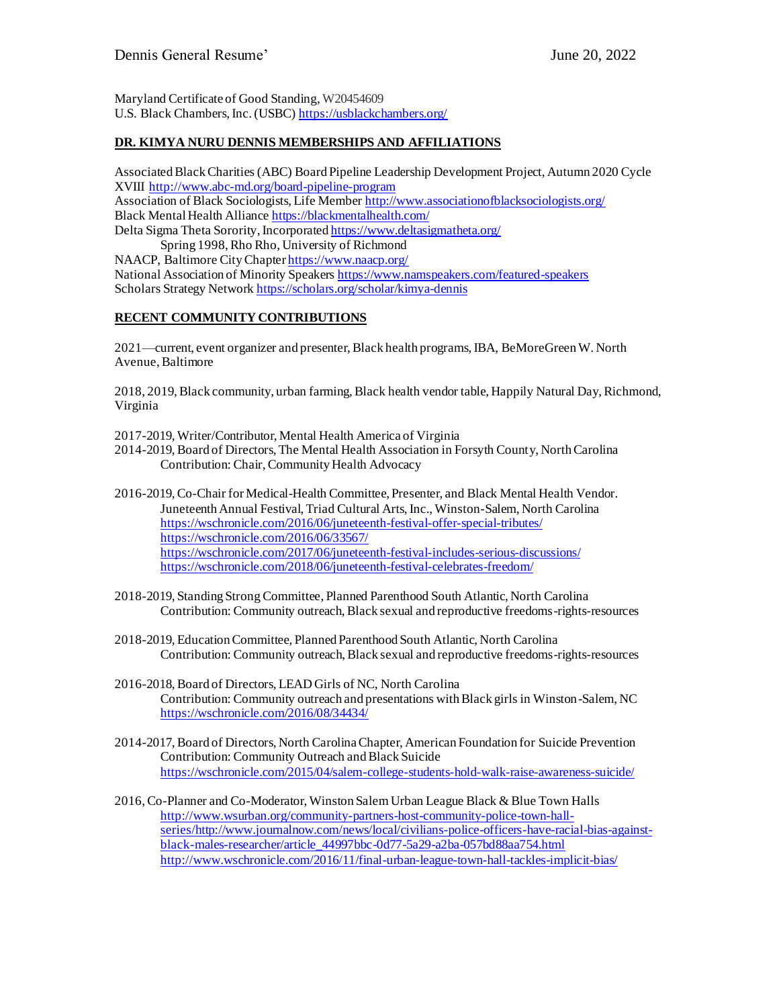Maryland Certificate of Good Standing, W20454609 U.S. Black Chambers, Inc. (USBC[\) https://usblackchambers.org/](https://usblackchambers.org/)

## **DR. KIMYA NURU DENNIS MEMBERSHIPS AND AFFILIATIONS**

Associated Black Charities (ABC) Board Pipeline Leadership Development Project, Autumn 2020 Cycle XVIII <http://www.abc-md.org/board-pipeline-program> Association of Black Sociologists, Life Membe[r http://www.associationofblacksociologists.org/](http://www.associationofblacksociologists.org/) Black Mental Health Allianc[e https://blackmentalhealth.com/](https://blackmentalhealth.com/) Delta Sigma Theta Sorority, Incorporate[d https://www.deltasigmatheta.org/](https://www.deltasigmatheta.org/) Spring 1998, Rho Rho, University of Richmond

NAACP, Baltimore City Chapte[r https://www.naacp.org/](https://www.naacp.org/) National Association of Minority Speaker[s https://www.namspeakers.com/featured-speakers](https://www.namspeakers.com/featured-speakers) Scholars Strategy Networ[k https://scholars.org/scholar/kimya-dennis](https://scholars.org/scholar/kimya-dennis)

# **RECENT COMMUNITY CONTRIBUTIONS**

2021—current, event organizer and presenter, Black health programs, IBA, BeMoreGreen W. North Avenue, Baltimore

2018, 2019, Black community, urban farming, Black health vendor table, Happily Natural Day, Richmond, Virginia

2017-2019, Writer/Contributor, Mental Health America of Virginia

2014-2019, Board of Directors, The Mental Health Association in Forsyth County, North Carolina Contribution: Chair, Community Health Advocacy

2016-2019, Co-Chair for Medical-Health Committee, Presenter, and Black Mental Health Vendor. Juneteenth Annual Festival, Triad Cultural Arts, Inc., Winston-Salem, North Carolina <https://wschronicle.com/2016/06/juneteenth-festival-offer-special-tributes/> <https://wschronicle.com/2016/06/33567/> <https://wschronicle.com/2017/06/juneteenth-festival-includes-serious-discussions/> <https://wschronicle.com/2018/06/juneteenth-festival-celebrates-freedom/>

- 2018-2019, Standing StrongCommittee, Planned Parenthood South Atlantic, North Carolina Contribution: Community outreach, Black sexual and reproductive freedoms-rights-resources
- 2018-2019, Education Committee, Planned Parenthood South Atlantic, North Carolina Contribution: Community outreach, Black sexual and reproductive freedoms-rights-resources
- 2016-2018, Board of Directors, LEAD Girls of NC, North Carolina Contribution: Community outreach and presentations with Black girls in Winston-Salem, NC <https://wschronicle.com/2016/08/34434/>
- 2014-2017, Board of Directors, North Carolina Chapter, American Foundation for Suicide Prevention Contribution: Community Outreach and Black Suicide <https://wschronicle.com/2015/04/salem-college-students-hold-walk-raise-awareness-suicide/>
- 2016, Co-Planner and Co-Moderator, Winston Salem Urban League Black & Blue Town Halls [http://www.wsurban.org/community-partners-host-community-police-town-hall](http://www.wsurban.org/community-partners-host-community-police-town-hall-series/)[series/](http://www.wsurban.org/community-partners-host-community-police-town-hall-series/)[http://www.journalnow.com/news/local/civilians-police-officers-have-racial-bias-against](http://www.journalnow.com/news/local/civilians-police-officers-have-racial-bias-against-black-males-researcher/article_44997bbc-0d77-5a29-a2ba-057bd88aa754.html)[black-males-researcher/article\\_44997bbc-0d77-5a29-a2ba-057bd88aa754.html](http://www.journalnow.com/news/local/civilians-police-officers-have-racial-bias-against-black-males-researcher/article_44997bbc-0d77-5a29-a2ba-057bd88aa754.html) <http://www.wschronicle.com/2016/11/final-urban-league-town-hall-tackles-implicit-bias/>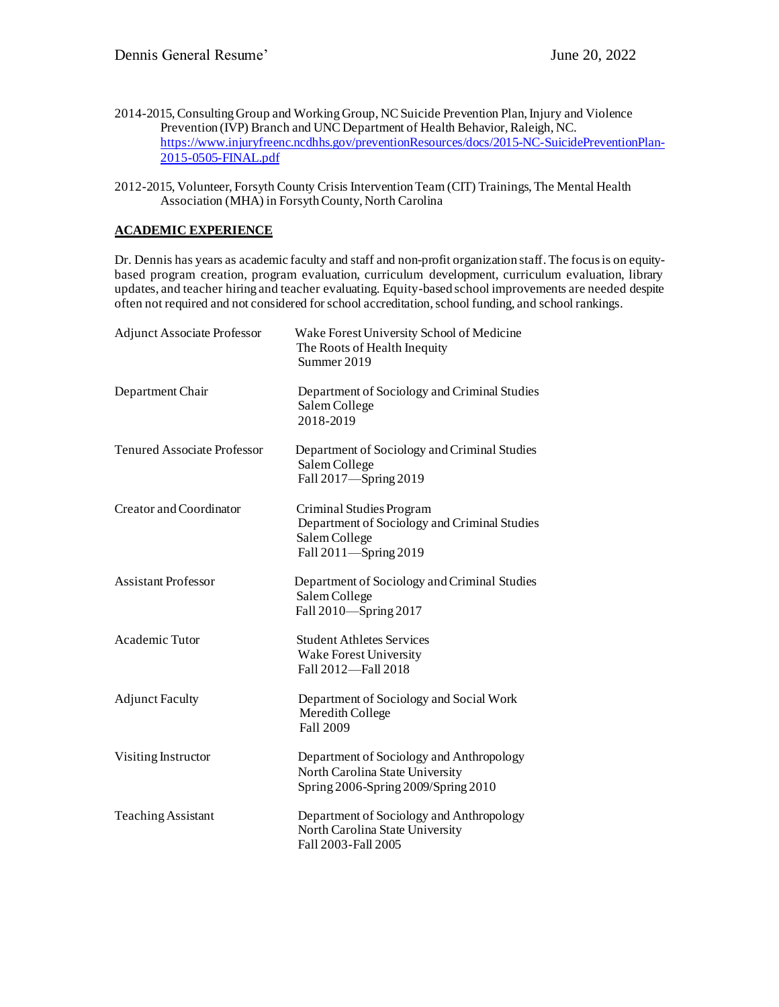- 2014-2015, Consulting Group and Working Group, NC Suicide Prevention Plan, Injury and Violence Prevention (IVP) Branch and UNC Department of Health Behavior, Raleigh, NC. [https://www.injuryfreenc.ncdhhs.gov/preventionResources/docs/2015-NC-SuicidePreventionPlan-](https://www.injuryfreenc.ncdhhs.gov/preventionResources/docs/2015-NC-SuicidePreventionPlan-2015-0505-FINAL.pdf)[2015-0505-FINAL.pdf](https://www.injuryfreenc.ncdhhs.gov/preventionResources/docs/2015-NC-SuicidePreventionPlan-2015-0505-FINAL.pdf)
- 2012-2015, Volunteer, Forsyth County Crisis Intervention Team (CIT) Trainings, The Mental Health Association (MHA) in Forsyth County, North Carolina

# **ACADEMIC EXPERIENCE**

Dr. Dennis has years as academic faculty and staff and non-profit organization staff. The focus is on equitybased program creation, program evaluation, curriculum development, curriculum evaluation, library updates, and teacher hiring and teacher evaluating. Equity-based school improvements are needed despite often not required and not considered for school accreditation, school funding, and school rankings.

| <b>Adjunct Associate Professor</b> | Wake Forest University School of Medicine<br>The Roots of Health Inequity<br>Summer 2019                           |
|------------------------------------|--------------------------------------------------------------------------------------------------------------------|
| Department Chair                   | Department of Sociology and Criminal Studies<br>Salem College<br>2018-2019                                         |
| <b>Tenured Associate Professor</b> | Department of Sociology and Criminal Studies<br>Salem College<br>Fall 2017-Spring 2019                             |
| Creator and Coordinator            | Criminal Studies Program<br>Department of Sociology and Criminal Studies<br>Salem College<br>Fall 2011-Spring 2019 |
| <b>Assistant Professor</b>         | Department of Sociology and Criminal Studies<br>Salem College<br>Fall 2010-Spring 2017                             |
| Academic Tutor                     | <b>Student Athletes Services</b><br>Wake Forest University<br>Fall 2012-Fall 2018                                  |
| <b>Adjunct Faculty</b>             | Department of Sociology and Social Work<br>Meredith College<br>Fall 2009                                           |
| Visiting Instructor                | Department of Sociology and Anthropology<br>North Carolina State University<br>Spring 2006-Spring 2009/Spring 2010 |
| <b>Teaching Assistant</b>          | Department of Sociology and Anthropology<br>North Carolina State University<br>Fall 2003-Fall 2005                 |
|                                    |                                                                                                                    |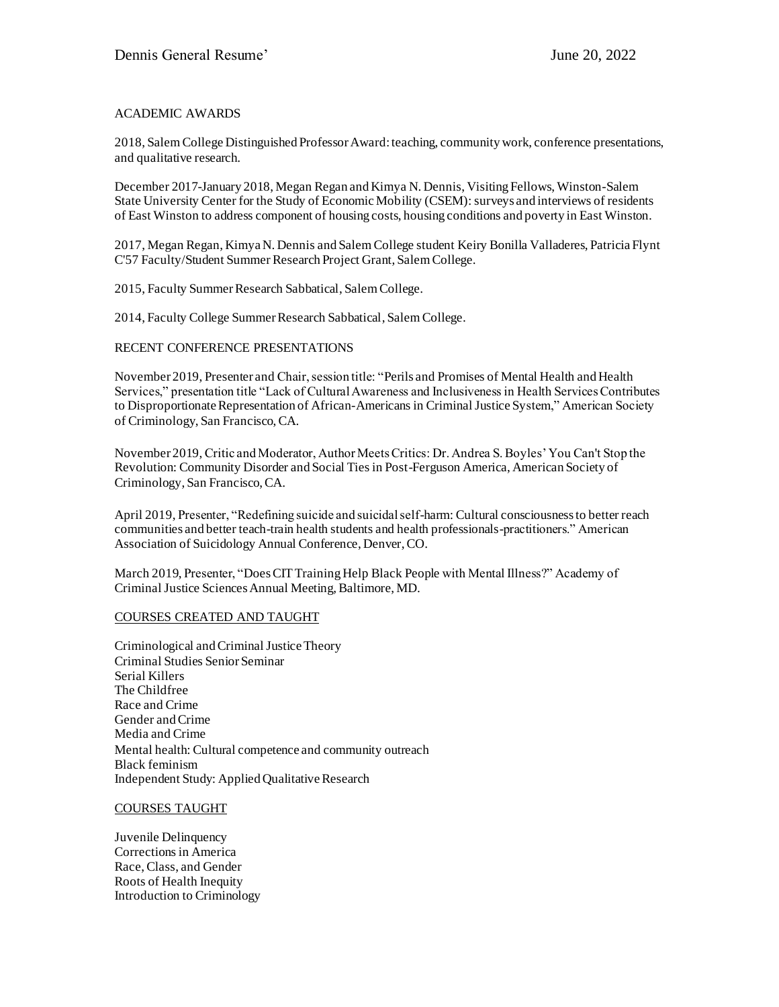#### ACADEMIC AWARDS

2018, Salem College Distinguished Professor Award: teaching, community work, conference presentations, and qualitative research.

December 2017-January 2018, Megan Regan and Kimya N. Dennis, Visiting Fellows, Winston-Salem State University Center for the Study of Economic Mobility (CSEM): surveys and interviews of residents of East Winston to address component of housing costs, housing conditions and poverty in East Winston.

2017, Megan Regan, Kimya N. Dennis and Salem College student Keiry Bonilla Valladeres, Patricia Flynt C'57 Faculty/Student Summer Research Project Grant, Salem College.

2015, Faculty Summer Research Sabbatical, Salem College.

2014, Faculty College Summer Research Sabbatical, Salem College.

#### RECENT CONFERENCE PRESENTATIONS

November 2019, Presenter and Chair, session title: "Perils and Promises of Mental Health and Health Services," presentation title "Lack of Cultural Awareness and Inclusiveness in Health Services Contributes to Disproportionate Representation of African-Americans in Criminal Justice System," American Society of Criminology, San Francisco, CA.

November 2019, Critic and Moderator, Author Meets Critics: Dr. Andrea S. Boyles' You Can't Stop the Revolution: Community Disorder and Social Ties in Post-Ferguson America, American Society of Criminology, San Francisco, CA.

April 2019, Presenter, "Redefining suicide and suicidal self-harm: Cultural consciousness to better reach communities and better teach-train health students and health professionals-practitioners." American Association of Suicidology Annual Conference, Denver, CO.

March 2019, Presenter, "Does CIT Training Help Black People with Mental Illness?" Academy of Criminal Justice Sciences Annual Meeting, Baltimore, MD.

#### COURSES CREATED AND TAUGHT

Criminological and Criminal Justice Theory Criminal Studies Senior Seminar Serial Killers The Childfree Race and Crime Gender and Crime Media and Crime Mental health: Cultural competence and community outreach Black feminism Independent Study: Applied Qualitative Research

#### COURSES TAUGHT

Juvenile Delinquency Corrections in America Race, Class, and Gender Roots of Health Inequity Introduction to Criminology